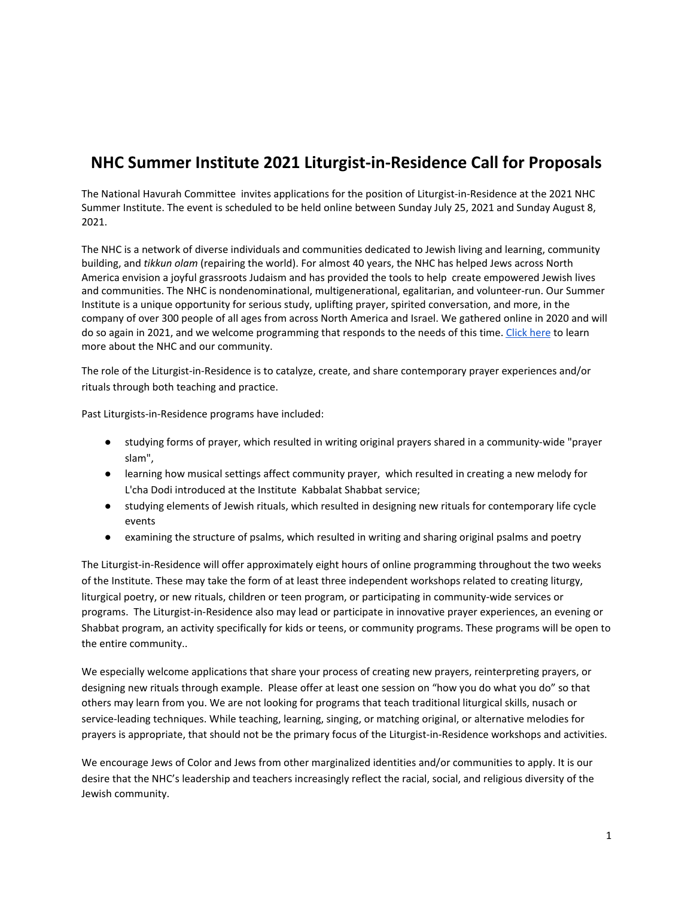## **NHC Summer Institute 2021 Liturgist-in-Residence Call for Proposals**

The National Havurah Committee invites applications for the position of Liturgist-in-Residence at the 2021 NHC Summer Institute. The event is scheduled to be held online between Sunday July 25, 2021 and Sunday August 8, 2021.

The NHC is a network of diverse individuals and communities dedicated to Jewish living and learning, community building, and *tikkun olam* (repairing the world). For almost 40 years, the NHC has helped Jews across North America envision a joyful grassroots Judaism and has provided the tools to help create empowered Jewish lives and communities. The NHC is nondenominational, multigenerational, egalitarian, and volunteer-run. Our Summer Institute is a unique opportunity for serious study, uplifting prayer, spirited conversation, and more, in the company of over 300 people of all ages from across North America and Israel. We gathered online in 2020 and will do so again in 2021, and we welcome programming that responds to the needs of this time. [Click](https://havurah.org/summer-institute-2021/) here to learn more about the NHC and our community.

The role of the Liturgist-in-Residence is to catalyze, create, and share contemporary prayer experiences and/or rituals through both teaching and practice.

Past Liturgists-in-Residence programs have included:

- studying forms of prayer, which resulted in writing original prayers shared in a community-wide "prayer slam",
- learning how musical settings affect community prayer, which resulted in creating a new melody for L'cha Dodi introduced at the Institute Kabbalat Shabbat service;
- studying elements of Jewish rituals, which resulted in designing new rituals for contemporary life cycle events
- examining the structure of psalms, which resulted in writing and sharing original psalms and poetry

The Liturgist-in-Residence will offer approximately eight hours of online programming throughout the two weeks of the Institute. These may take the form of at least three independent workshops related to creating liturgy, liturgical poetry, or new rituals, children or teen program, or participating in community-wide services or programs. The Liturgist-in-Residence also may lead or participate in innovative prayer experiences, an evening or Shabbat program, an activity specifically for kids or teens, or community programs. These programs will be open to the entire community..

We especially welcome applications that share your process of creating new prayers, reinterpreting prayers, or designing new rituals through example. Please offer at least one session on "how you do what you do" so that others may learn from you. We are not looking for programs that teach traditional liturgical skills, nusach or service-leading techniques. While teaching, learning, singing, or matching original, or alternative melodies for prayers is appropriate, that should not be the primary focus of the Liturgist-in-Residence workshops and activities.

We encourage Jews of Color and Jews from other marginalized identities and/or communities to apply. It is our desire that the NHC's leadership and teachers increasingly reflect the racial, social, and religious diversity of the Jewish community.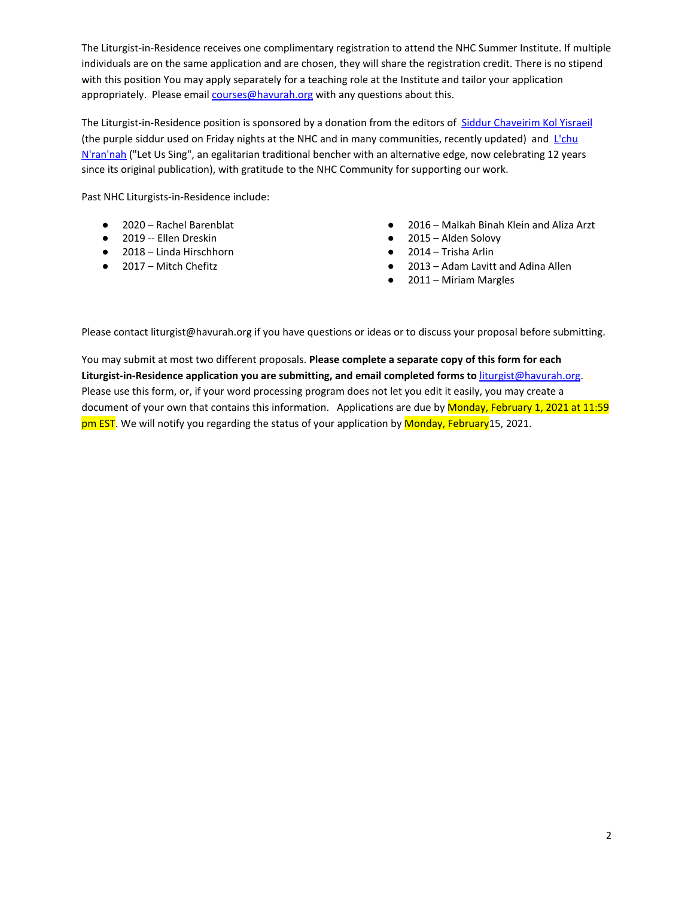The Liturgist-in-Residence receives one complimentary registration to attend the NHC Summer Institute. If multiple individuals are on the same application and are chosen, they will share the registration credit. There is no stipend with this position You may apply separately for a teaching role at the Institute and tailor your application appropriately. Please email [courses@havurah.org](mailto:courses@havurah.org) with any questions about this.

The Liturgist-in-Residence position is sponsored by a donation from the editors of Siddur [Chaveirim](https://haggadahsrus.com/SidChav.html) Kol Yisraeil (the purple siddur used on Friday nights at the NHC and in many communities, recently updated) and [L'chu](https://haggadahsrus.com/Lchu.html) [N'ran'nah](https://haggadahsrus.com/Lchu.html) ("Let Us Sing", an egalitarian traditional bencher with an alternative edge, now celebrating 12 years since its original publication), with gratitude to the NHC Community for supporting our work.

Past NHC Liturgists-in-Residence include:

- 2020 Rachel Barenblat
- 2019 -- Ellen Dreskin
- 2018 Linda Hirschhorn
- 2017 Mitch Chefitz
- 2016 Malkah Binah Klein and Aliza Arzt
- 2015 Alden Solovy
- 2014 Trisha Arlin
- 2013 Adam Lavitt and Adina Allen
- 2011 Miriam Margles

Please contact liturgist@havurah.org if you have questions or ideas or to discuss your proposal before submitting.

You may submit at most two different proposals. **Please complete a separate copy of this form for each Liturgist-in-Residence application you are submitting, and email completed forms to** [liturgist@havurah.org](mailto:liturgist@havurah.org). Please use this form, or, if your word processing program does not let you edit it easily, you may create a document of your own that contains this information. Applications are due by Monday, February 1, 2021 at 11:59 pm EST. We will notify you regarding the status of your application by Monday, February 15, 2021.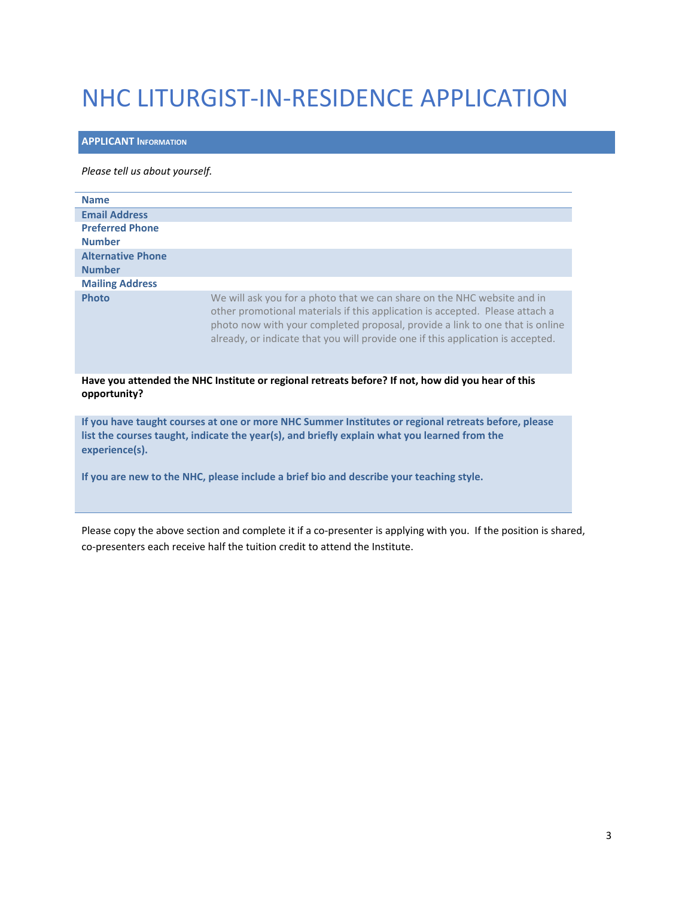# NHC LITURGIST-IN-RESIDENCE APPLICATION

### **APPLICANT INFORMATION**

#### *Please tell us about yourself.*

| <b>Name</b>              |                                                                                                                                                                                                                                                                                                                            |
|--------------------------|----------------------------------------------------------------------------------------------------------------------------------------------------------------------------------------------------------------------------------------------------------------------------------------------------------------------------|
| <b>Email Address</b>     |                                                                                                                                                                                                                                                                                                                            |
| <b>Preferred Phone</b>   |                                                                                                                                                                                                                                                                                                                            |
| <b>Number</b>            |                                                                                                                                                                                                                                                                                                                            |
| <b>Alternative Phone</b> |                                                                                                                                                                                                                                                                                                                            |
| <b>Number</b>            |                                                                                                                                                                                                                                                                                                                            |
| <b>Mailing Address</b>   |                                                                                                                                                                                                                                                                                                                            |
| <b>Photo</b>             | We will ask you for a photo that we can share on the NHC website and in<br>other promotional materials if this application is accepted. Please attach a<br>photo now with your completed proposal, provide a link to one that is online<br>already, or indicate that you will provide one if this application is accepted. |

**Have you attended the NHC Institute or regional retreats before? If not, how did you hear of this opportunity?**

**If you have taught courses at one or more NHC Summer Institutes or regional retreats before, please list the courses taught, indicate the year(s), and briefly explain what you learned from the experience(s).**

**If you are new to the NHC, please include a brief bio and describe your teaching style.**

Please copy the above section and complete it if a co-presenter is applying with you. If the position is shared, co-presenters each receive half the tuition credit to attend the Institute.